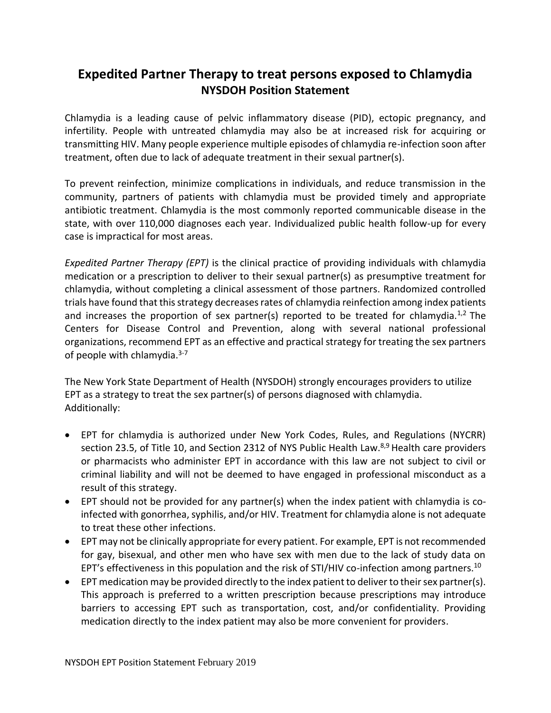## **Expedited Partner Therapy to treat persons exposed to Chlamydia NYSDOH Position Statement**

Chlamydia is a leading cause of pelvic inflammatory disease (PID), ectopic pregnancy, and infertility. People with untreated chlamydia may also be at increased risk for acquiring or transmitting HIV. Many people experience multiple episodes of chlamydia re-infection soon after treatment, often due to lack of adequate treatment in their sexual partner(s).

To prevent reinfection, minimize complications in individuals, and reduce transmission in the community, partners of patients with chlamydia must be provided timely and appropriate antibiotic treatment. Chlamydia is the most commonly reported communicable disease in the state, with over 110,000 diagnoses each year. Individualized public health follow-up for every case is impractical for most areas.

*Expedited Partner Therapy (EPT)* is the clinical practice of providing individuals with chlamydia medication or a prescription to deliver to their sexual partner(s) as presumptive treatment for chlamydia, without completing a clinical assessment of those partners. Randomized controlled trials have found that this strategy decreases rates of chlamydia reinfection among index patients and increases the proportion of sex partner(s) reported to be treated for chlamydia.<sup>1,2</sup> The Centers for Disease Control and Prevention, along with several national professional organizations, recommend EPT as an effective and practical strategy for treating the sex partners of people with chlamydia.<sup>3-7</sup>

The New York State Department of Health (NYSDOH) strongly encourages providers to utilize EPT as a strategy to treat the sex partner(s) of persons diagnosed with chlamydia. Additionally:

- EPT for chlamydia is authorized under New York Codes, Rules, and Regulations (NYCRR) section 23.5, of Title 10, and Section 2312 of NYS Public Health Law.<sup>8,9</sup> Health care providers or pharmacists who administer EPT in accordance with this law are not subject to civil or criminal liability and will not be deemed to have engaged in professional misconduct as a result of this strategy.
- EPT should not be provided for any partner(s) when the index patient with chlamydia is coinfected with gonorrhea, syphilis, and/or HIV. Treatment for chlamydia alone is not adequate to treat these other infections.
- EPT may not be clinically appropriate for every patient. For example, EPT is not recommended for gay, bisexual, and other men who have sex with men due to the lack of study data on EPT's effectiveness in this population and the risk of STI/HIV co-infection among partners.<sup>10</sup>
- EPT medication may be provided directly to the index patient to deliver to their sex partner(s). This approach is preferred to a written prescription because prescriptions may introduce barriers to accessing EPT such as transportation, cost, and/or confidentiality. Providing medication directly to the index patient may also be more convenient for providers.